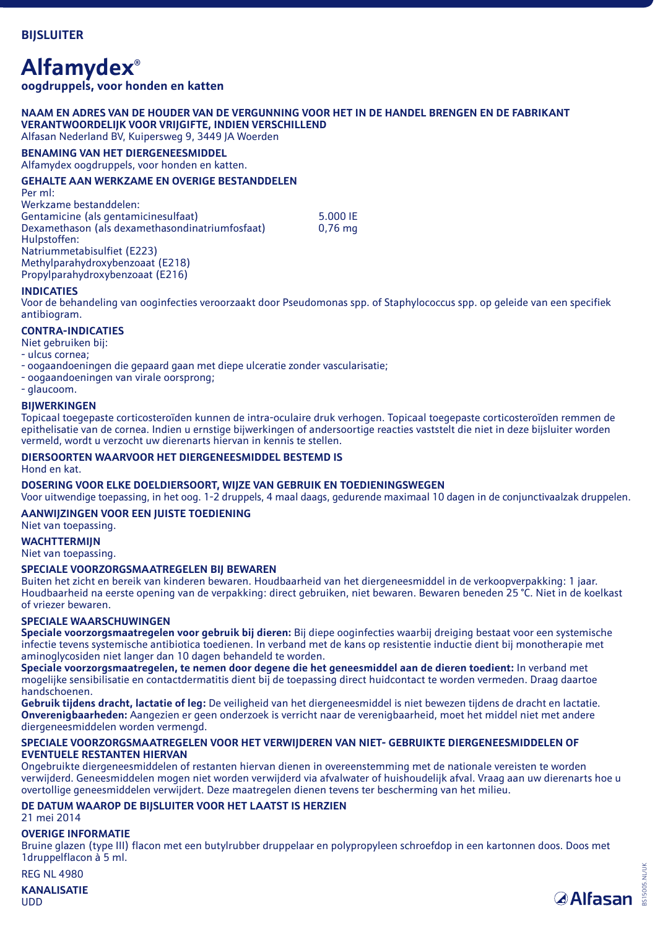## **Alfamydex®**

**oogdruppels, voor honden en katten**

#### **NAAM EN ADRES VAN DE HOUDER VAN DE VERGUNNING VOOR HET IN DE HANDEL BRENGEN EN DE FABRIKANT VERANTWOORDELIJK VOOR VRIJGIFTE, INDIEN VERSCHILLEND**  Alfasan Nederland BV, Kuipersweg 9, 3449 JA Woerden

**BENAMING VAN HET DIERGENEESMIDDEL** 

Alfamydex oogdruppels, voor honden en katten.

## **GEHALTE AAN WERKZAME EN OVERIGE BESTANDDELEN**

Per ml: Werkzame bestanddelen: Gentamicine (als gentamicinesulfaat) 5.000 IE Dexamethason (als dexamethasondinatriumfosfaat) Hulpstoffen: Natriummetabisulfiet (E223) Methylparahydroxybenzoaat (E218) Propylparahydroxybenzoaat (E216)

## **INDICATIES**

Voor de behandeling van ooginfecties veroorzaakt door Pseudomonas spp. of Staphylococcus spp. op geleide van een specifiek antibiogram.

## **CONTRA-INDICATIES**

Niet gebruiken bij:

- ulcus cornea;
- oogaandoeningen die gepaard gaan met diepe ulceratie zonder vascularisatie;
- oogaandoeningen van virale oorsprong;
- glaucoom.

#### **BIJWERKINGEN**

Topicaal toegepaste corticosteroïden kunnen de intra-oculaire druk verhogen. Topicaal toegepaste corticosteroïden remmen de epithelisatie van de cornea. Indien u ernstige bijwerkingen of andersoortige reacties vaststelt die niet in deze bijsluiter worden vermeld, wordt u verzocht uw dierenarts hiervan in kennis te stellen.

## **DIERSOORTEN WAARVOOR HET DIERGENEESMIDDEL BESTEMD IS**

Hond en kat.

## **DOSERING VOOR ELKE DOELDIERSOORT, WIJZE VAN GEBRUIK EN TOEDIENINGSWEGEN**

Voor uitwendige toepassing, in het oog. 1-2 druppels, 4 maal daags, gedurende maximaal 10 dagen in de conjunctivaalzak druppelen. **AANWIJZINGEN VOOR EEN JUISTE TOEDIENING** 

Niet van toepassing.

## **WACHTTERMIJN**

Niet van toepassing.

#### **SPECIALE VOORZORGSMAATREGELEN BIJ BEWAREN**

Buiten het zicht en bereik van kinderen bewaren. Houdbaarheid van het diergeneesmiddel in de verkoopverpakking: 1 jaar. Houdbaarheid na eerste opening van de verpakking: direct gebruiken, niet bewaren. Bewaren beneden 25 °C. Niet in de koelkast of vriezer bewaren.

## **SPECIALE WAARSCHUWINGEN**

**Speciale voorzorgsmaatregelen voor gebruik bij dieren:** Bij diepe ooginfecties waarbij dreiging bestaat voor een systemische infectie tevens systemische antibiotica toedienen. In verband met de kans op resistentie inductie dient bij monotherapie met aminoglycosiden niet langer dan 10 dagen behandeld te worden.

**Speciale voorzorgsmaatregelen, te nemen door degene die het geneesmiddel aan de dieren toedient:** In verband met mogelijke sensibilisatie en contactdermatitis dient bij de toepassing direct huidcontact te worden vermeden. Draag daartoe handschoenen.

**Gebruik tijdens dracht, lactatie of leg:** De veiligheid van het diergeneesmiddel is niet bewezen tijdens de dracht en lactatie. **Onverenigbaarheden:** Aangezien er geen onderzoek is verricht naar de verenigbaarheid, moet het middel niet met andere diergeneesmiddelen worden vermengd.

#### **SPECIALE VOORZORGSMAATREGELEN VOOR HET VERWIJDEREN VAN NIET- GEBRUIKTE DIERGENEESMIDDELEN OF EVENTUELE RESTANTEN HIERVAN**

Ongebruikte diergeneesmiddelen of restanten hiervan dienen in overeenstemming met de nationale vereisten te worden verwijderd. Geneesmiddelen mogen niet worden verwijderd via afvalwater of huishoudelijk afval. Vraag aan uw dierenarts hoe u overtollige geneesmiddelen verwijdert. Deze maatregelen dienen tevens ter bescherming van het milieu.

## **DE DATUM WAAROP DE BIJSLUITER VOOR HET LAATST IS HERZIEN**

21 mei 2014

#### **OVERIGE INFORMATIE**

Bruine glazen (type III) flacon met een butylrubber druppelaar en polypropyleen schroefdop in een kartonnen doos. Doos met 1druppelflacon à 5 ml.

REG NL 4980

**KANALISATIE** UDD